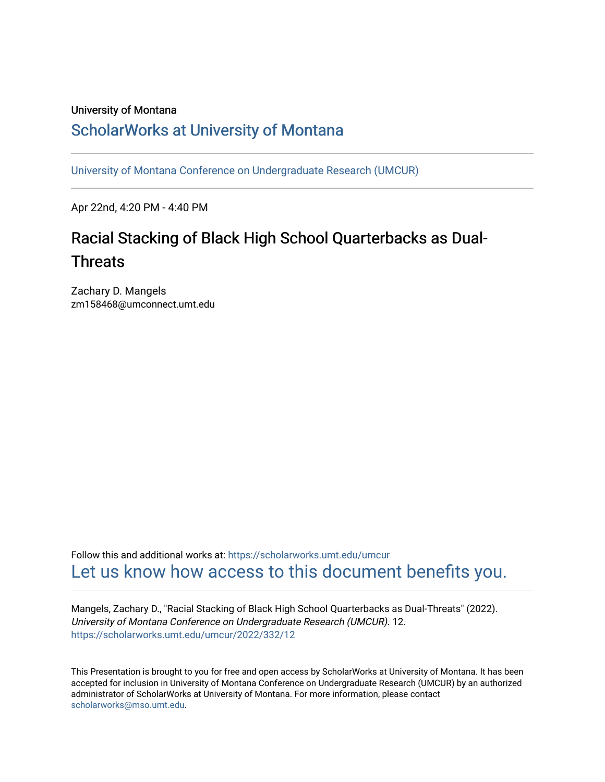#### University of Montana

#### [ScholarWorks at University of Montana](https://scholarworks.umt.edu/)

[University of Montana Conference on Undergraduate Research \(UMCUR\)](https://scholarworks.umt.edu/umcur)

Apr 22nd, 4:20 PM - 4:40 PM

### Racial Stacking of Black High School Quarterbacks as Dual-**Threats**

Zachary D. Mangels zm158468@umconnect.umt.edu

Follow this and additional works at: [https://scholarworks.umt.edu/umcur](https://scholarworks.umt.edu/umcur?utm_source=scholarworks.umt.edu%2Fumcur%2F2022%2F332%2F12&utm_medium=PDF&utm_campaign=PDFCoverPages)  [Let us know how access to this document benefits you.](https://goo.gl/forms/s2rGfXOLzz71qgsB2) 

Mangels, Zachary D., "Racial Stacking of Black High School Quarterbacks as Dual-Threats" (2022). University of Montana Conference on Undergraduate Research (UMCUR). 12. [https://scholarworks.umt.edu/umcur/2022/332/12](https://scholarworks.umt.edu/umcur/2022/332/12?utm_source=scholarworks.umt.edu%2Fumcur%2F2022%2F332%2F12&utm_medium=PDF&utm_campaign=PDFCoverPages) 

This Presentation is brought to you for free and open access by ScholarWorks at University of Montana. It has been accepted for inclusion in University of Montana Conference on Undergraduate Research (UMCUR) by an authorized administrator of ScholarWorks at University of Montana. For more information, please contact [scholarworks@mso.umt.edu.](mailto:scholarworks@mso.umt.edu)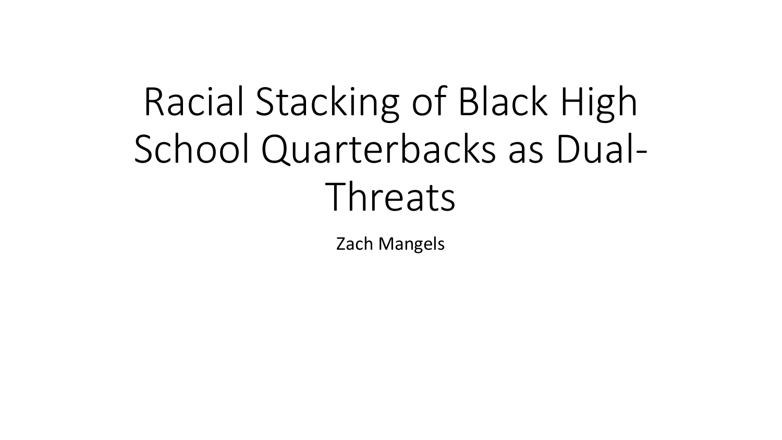# Racial Stacking of Black High School Quarterbacks as Dual-Threats

Zach Mangels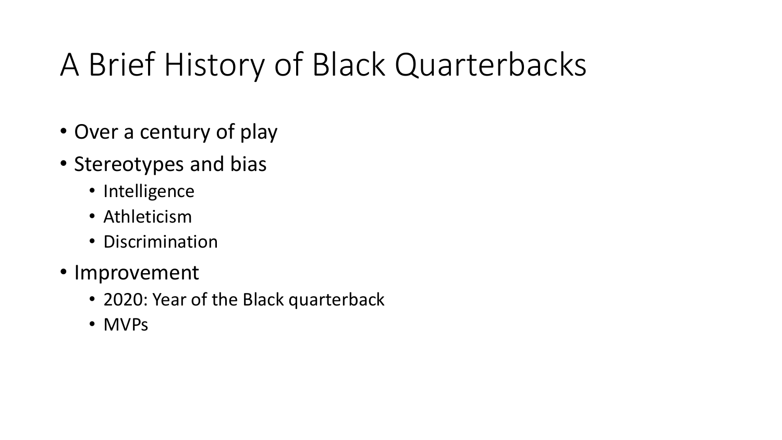# A Brief History of Black Quarterbacks

- Over a century of play
- Stereotypes and bias
	- Intelligence
	- Athleticism
	- Discrimination
- Improvement
	- 2020: Year of the Black quarterback
	- MVPs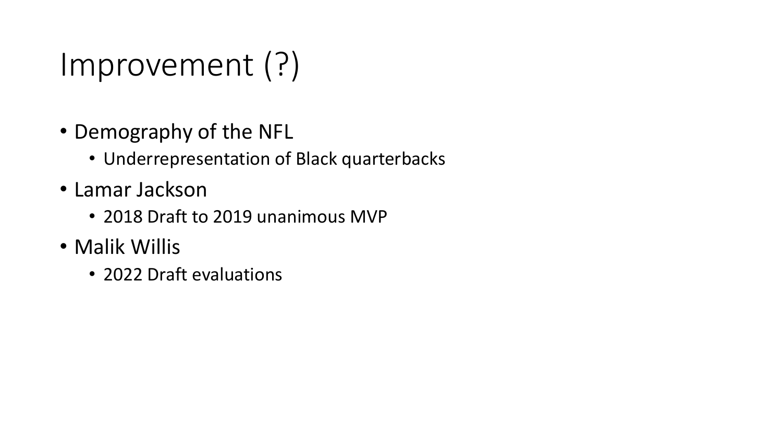# Improvement (?)

- Demography of the NFL
	- Underrepresentation of Black quarterbacks
- Lamar Jackson
	- 2018 Draft to 2019 unanimous MVP
- Malik Willis
	- 2022 Draft evaluations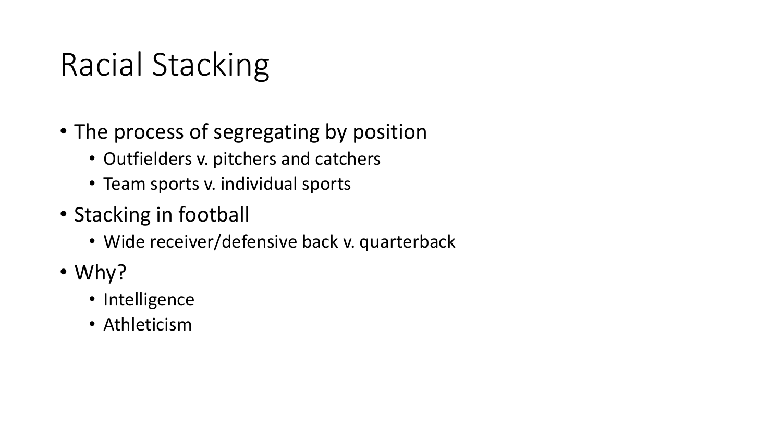# Racial Stacking

- The process of segregating by position
	- Outfielders v. pitchers and catchers
	- Team sports v. individual sports
- Stacking in football
	- Wide receiver/defensive back v. quarterback
- Why?
	- Intelligence
	- Athleticism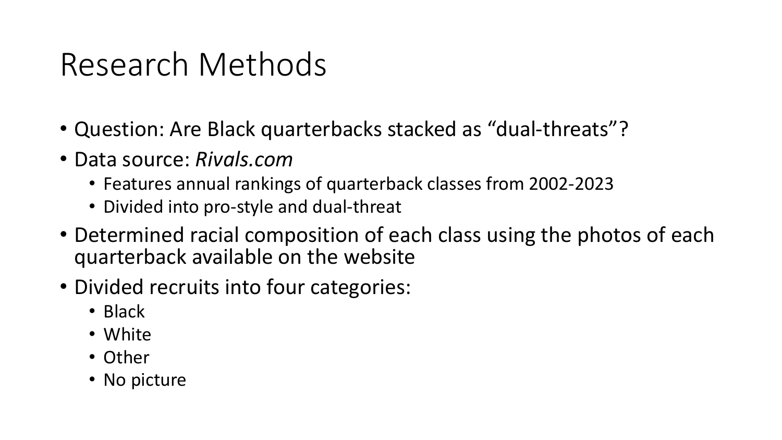# Research Methods

- Question: Are Black quarterbacks stacked as "dual-threats"?
- Data source: *Rivals.com*
	- Features annual rankings of quarterback classes from 2002-2023
	- Divided into pro-style and dual-threat
- Determined racial composition of each class using the photos of each quarterback available on the website
- Divided recruits into four categories:
	- Black
	- White
	- Other
	- No picture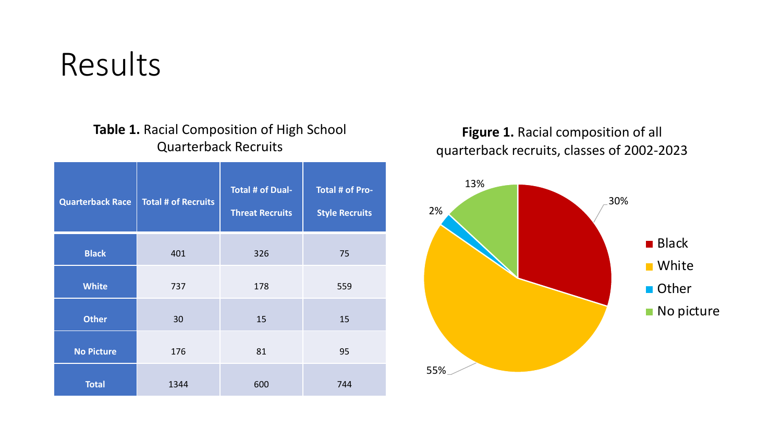**Table 1.** Racial Composition of High School Quarterback Recruits

| <b>Quarterback Race</b> | <b>Total # of Recruits</b> | <b>Total # of Dual-</b><br><b>Threat Recruits</b> | <b>Total # of Pro-</b><br><b>Style Recruits</b> |  |
|-------------------------|----------------------------|---------------------------------------------------|-------------------------------------------------|--|
| <b>Black</b>            | 401                        | 326                                               | 75                                              |  |
| <b>White</b>            | 737                        | 178                                               | 559                                             |  |
| <b>Other</b>            | 30                         | 15                                                | 15                                              |  |
| <b>No Picture</b>       | 176                        | 81                                                | 95                                              |  |
| <b>Total</b>            | 1344                       | 600                                               | 744                                             |  |

**Figure 1.** Racial composition of all quarterback recruits, classes of 2002-2023

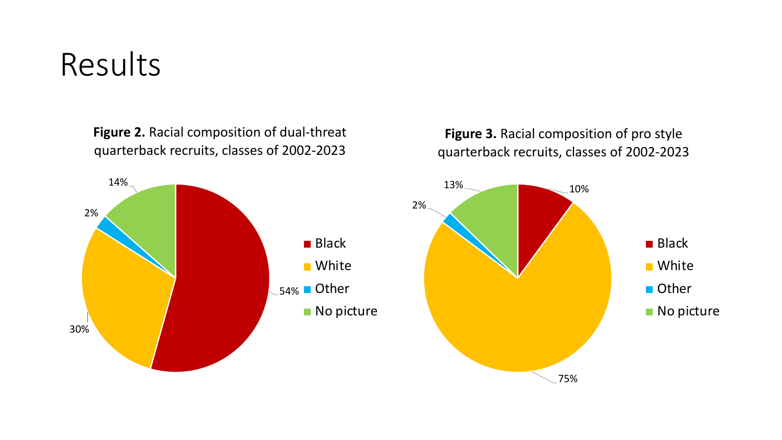**Figure 2.** Racial composition of dual-threat quarterback recruits, classes of 2002-2023



### **Figure 3.** Racial composition of pro style quarterback recruits, classes of 2002-2023

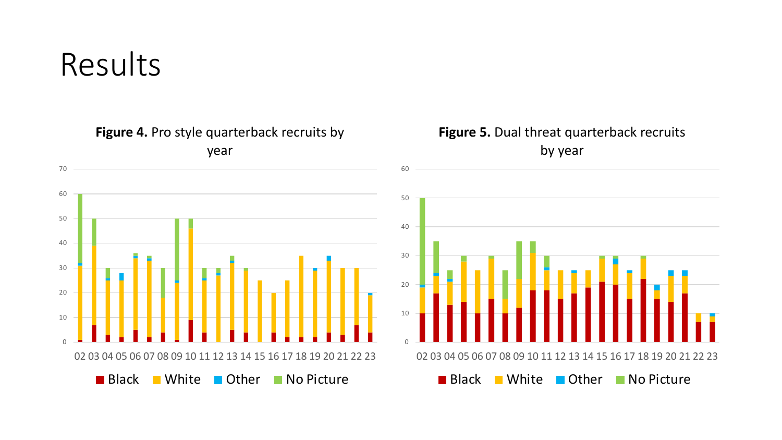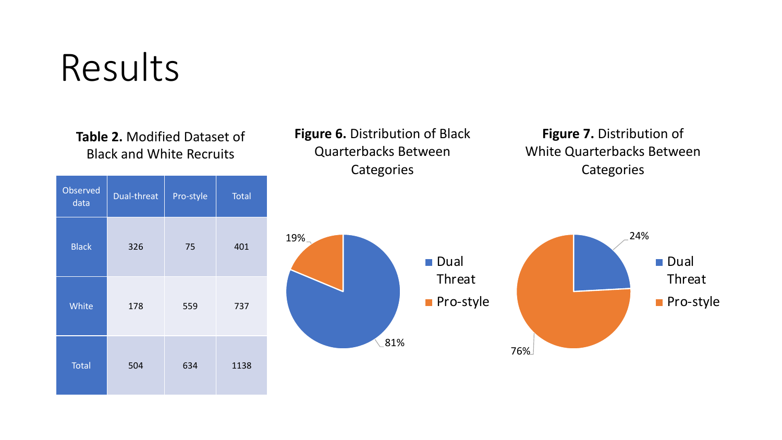**Table 2.** Modified Dataset of Black and White Recruits

| Observed<br>data | Dual-threat | Pro-style | <b>Total</b> |  |
|------------------|-------------|-----------|--------------|--|
| <b>Black</b>     | 326         | 75        | 401          |  |
| White            | 178         | 559       | 737          |  |
| <b>Total</b>     | 504         | 634       | 1138         |  |

**Figure 6.** Distribution of Black Quarterbacks Between **Categories** 

**Figure 7.** Distribution of White Quarterbacks Between **Categories** 

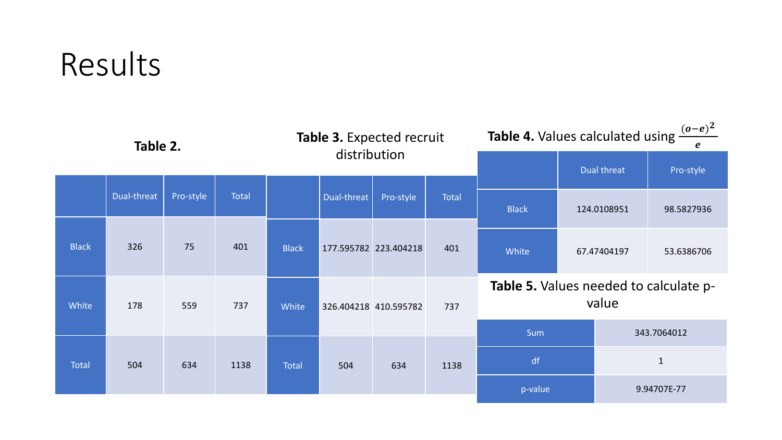| Table 2.     |             | Table 3. Expected recruit |              | <b>Table 4.</b> Values calculated using $\frac{(o-e)^2}{\ }$ |             |                       |             |                                                 |             |              |  |
|--------------|-------------|---------------------------|--------------|--------------------------------------------------------------|-------------|-----------------------|-------------|-------------------------------------------------|-------------|--------------|--|
|              |             |                           | distribution |                                                              |             |                       | Dual threat | Pro-style                                       |             |              |  |
|              | Dual-threat | Pro-style                 | <b>Total</b> |                                                              | Dual-threat | Pro-style             | Total       | <b>Black</b>                                    | 124.0108951 | 98.5827936   |  |
| <b>Black</b> | 326         | 75                        | 401          | <b>Black</b>                                                 |             | 177.595782 223.404218 | 401         | White                                           | 67.47404197 | 53.6386706   |  |
| White        | 178         | 559                       | 737          | White                                                        |             | 326.404218 410.595782 | 737         | Table 5. Values needed to calculate p-<br>value |             |              |  |
|              |             |                           |              |                                                              |             |                       |             | <b>Sum</b><br>343.7064012                       |             |              |  |
| Total        | 504         | 634                       | 1138         | <b>Total</b>                                                 | 504         | 634                   | 1138        | df                                              |             | $\mathbf{1}$ |  |
|              |             |                           |              |                                                              |             |                       | p-value     |                                                 | 9.94707E-77 |              |  |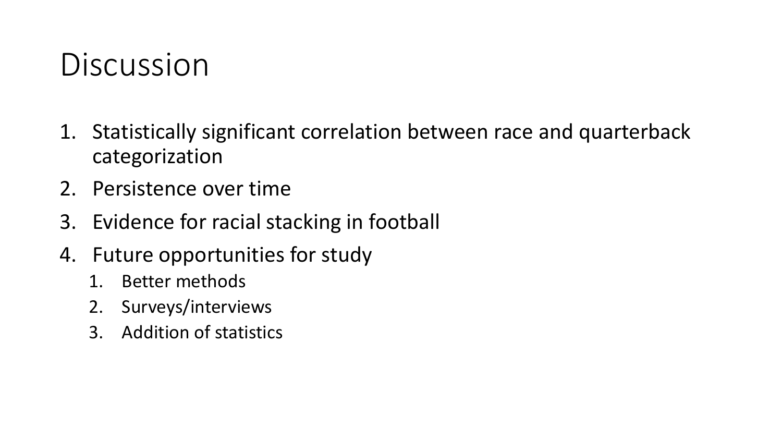# Discussion

- 1. Statistically significant correlation between race and quarterback categorization
- 2. Persistence over time
- 3. Evidence for racial stacking in football
- 4. Future opportunities for study
	- 1. Better methods
	- 2. Surveys/interviews
	- 3. Addition of statistics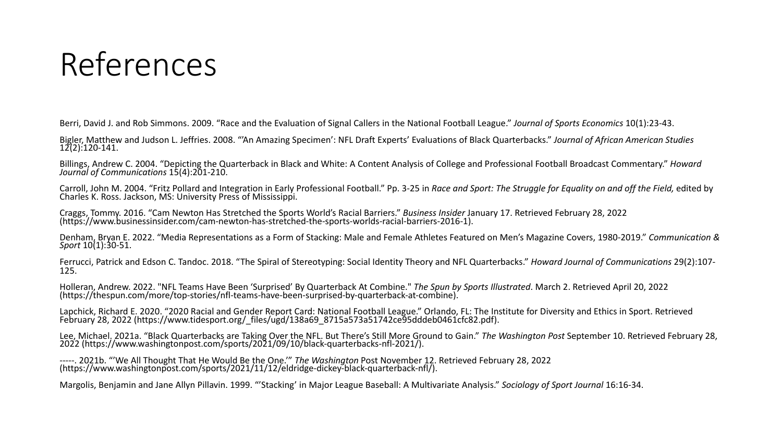# References

Berri, David J. and Rob Simmons. 2009. "Race and the Evaluation of Signal Callers in the National Football League." *Journal of Sports Economics* 10(1):23-43.

Bigler, Matthew and Judson L. Jeffries. 2008. "'An Amazing Specimen': NFL Draft Experts' Evaluations of Black Quarterbacks." *Journal of African American Studies* 12(2):120-141.

Billings, Andrew C. 2004. "Depicting the Quarterback in Black and White: A Content Analysis of College and Professional Football Broadcast Commentary." *Howard Journal of Communications* 15(4):201-210.

Carroll, John M. 2004. "Fritz Pollard and Integration in Early Professional Football." Pp. 3-25 in Race and Sport: The Struggle for Equality on and off the Field, edited by Charles K. Ross. Jackson, MS: University Press of

Craggs, Tommy. 2016. "Cam Newton Has Stretched the Sports World's Racial Barriers." Business Insider January 17. Retrieved February 28, 2022<br>(https://www.businessinsider.com/cam-newton-has-stretched-the-sports-worlds-racia

Denham, Bryan E. 2022. "Media Representations as a Form of Stacking: Male and Female Athletes Featured on Men's Magazine Covers, 1980-2019." *Communication & Sport* 10(1):30-51.

Ferrucci, Patrick and Edson C. Tandoc. 2018. "The Spiral of Stereotyping: Social Identity Theory and NFL Quarterbacks." *Howard Journal of Communications* 29(2):107- 125.

Holleran, Andrew. 2022. "NFL Teams Have Been 'Surprised' By Quarterback At Combine." The Spun by Sports Illustrated. March 2. Retrieved April 20, 2022

Lapchick, Richard E. 2020. "2020 Racial and Gender Report Card: National Football League." Orlando, FL: The Institute for Diversity and Ethics in Sport. Retrieved<br>February 28, 2022 (https://www.tidesport.org/files/ugd/138a

Lee, Michael. 2021a. "Black Quarterbacks are Taking Over the NFL. But There's Still More Ground to Gain." The Washington Post September 10. Retrieved February 28, 2022 (https://www.washingtonpost.com/sports/2021/09/10/blac

-----. 2021b. "'We All Thought That He Would Be the One.'" *The Washington* Post November 12. Retrieved February 28, 2022 (https://www.washingtonpost.com/sports/2021/11/12/eldridge-dickey-black-quarterback-nfl/).

Margolis, Benjamin and Jane Allyn Pillavin. 1999. "'Stacking' in Major League Baseball: A Multivariate Analysis." *Sociology of Sport Journal* 16:16-34.